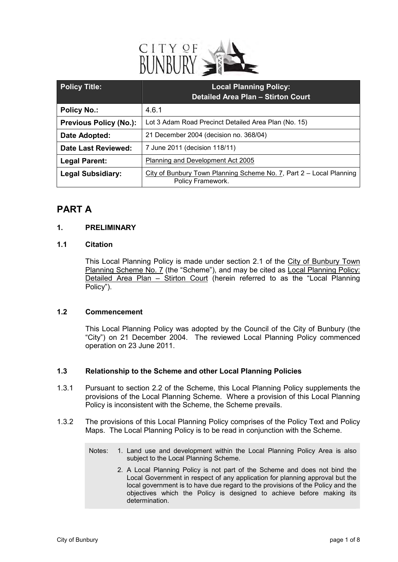

| <b>Policy Title:</b>          | <b>Local Planning Policy:</b><br><b>Detailed Area Plan - Stirton Court</b>               |
|-------------------------------|------------------------------------------------------------------------------------------|
| <b>Policy No.:</b>            | 4.6.1                                                                                    |
| <b>Previous Policy (No.):</b> | Lot 3 Adam Road Precinct Detailed Area Plan (No. 15)                                     |
| Date Adopted:                 | 21 December 2004 (decision no. 368/04)                                                   |
| <b>Date Last Reviewed:</b>    | 7 June 2011 (decision 118/11)                                                            |
| <b>Legal Parent:</b>          | Planning and Development Act 2005                                                        |
| <b>Legal Subsidiary:</b>      | City of Bunbury Town Planning Scheme No. 7, Part 2 - Local Planning<br>Policy Framework. |

## **PART A**

### **1. PRELIMINARY**

### **1.1 Citation**

This Local Planning Policy is made under section 2.1 of the City of Bunbury Town Planning Scheme No. 7 (the "Scheme"), and may be cited as Local Planning Policy: Detailed Area Plan – Stirton Court (herein referred to as the "Local Planning Policy").

### **1.2 Commencement**

This Local Planning Policy was adopted by the Council of the City of Bunbury (the "City") on 21 December 2004. The reviewed Local Planning Policy commenced operation on 23 June 2011.

### **1.3 Relationship to the Scheme and other Local Planning Policies**

- 1.3.1 Pursuant to section 2.2 of the Scheme, this Local Planning Policy supplements the provisions of the Local Planning Scheme. Where a provision of this Local Planning Policy is inconsistent with the Scheme, the Scheme prevails.
- 1.3.2 The provisions of this Local Planning Policy comprises of the Policy Text and Policy Maps. The Local Planning Policy is to be read in conjunction with the Scheme.
	- Notes: 1. Land use and development within the Local Planning Policy Area is also subject to the Local Planning Scheme.
		- 2. A Local Planning Policy is not part of the Scheme and does not bind the Local Government in respect of any application for planning approval but the local government is to have due regard to the provisions of the Policy and the objectives which the Policy is designed to achieve before making its determination.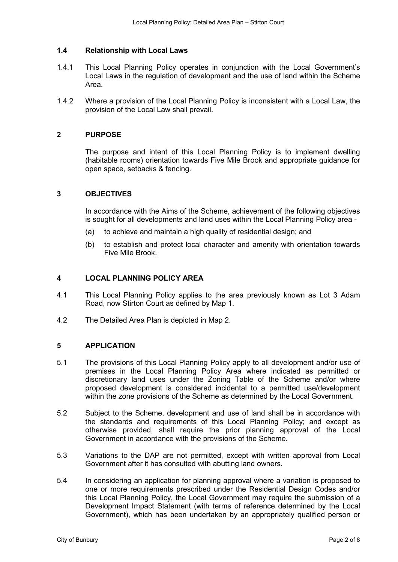### **1.4 Relationship with Local Laws**

- 1.4.1 This Local Planning Policy operates in conjunction with the Local Government's Local Laws in the regulation of development and the use of land within the Scheme Area.
- 1.4.2 Where a provision of the Local Planning Policy is inconsistent with a Local Law, the provision of the Local Law shall prevail.

### **2 PURPOSE**

The purpose and intent of this Local Planning Policy is to implement dwelling (habitable rooms) orientation towards Five Mile Brook and appropriate guidance for open space, setbacks & fencing.

### **3 OBJECTIVES**

In accordance with the Aims of the Scheme, achievement of the following objectives is sought for all developments and land uses within the Local Planning Policy area -

- (a) to achieve and maintain a high quality of residential design; and
- (b) to establish and protect local character and amenity with orientation towards Five Mile Brook.

### **4 LOCAL PLANNING POLICY AREA**

- 4.1 This Local Planning Policy applies to the area previously known as Lot 3 Adam Road, now Stirton Court as defined by Map 1.
- 4.2 The Detailed Area Plan is depicted in Map 2.

### **5 APPLICATION**

- 5.1 The provisions of this Local Planning Policy apply to all development and/or use of premises in the Local Planning Policy Area where indicated as permitted or discretionary land uses under the Zoning Table of the Scheme and/or where proposed development is considered incidental to a permitted use/development within the zone provisions of the Scheme as determined by the Local Government.
- 5.2 Subject to the Scheme, development and use of land shall be in accordance with the standards and requirements of this Local Planning Policy; and except as otherwise provided, shall require the prior planning approval of the Local Government in accordance with the provisions of the Scheme.
- 5.3 Variations to the DAP are not permitted, except with written approval from Local Government after it has consulted with abutting land owners.
- 5.4 In considering an application for planning approval where a variation is proposed to one or more requirements prescribed under the Residential Design Codes and/or this Local Planning Policy, the Local Government may require the submission of a Development Impact Statement (with terms of reference determined by the Local Government), which has been undertaken by an appropriately qualified person or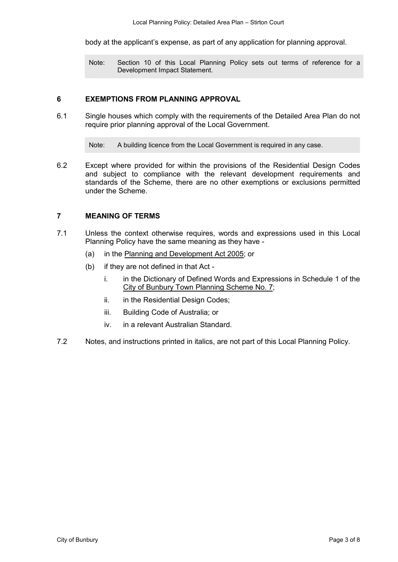body at the applicant's expense, as part of any application for planning approval.

Note: Section 10 of this Local Planning Policy sets out terms of reference for a Development Impact Statement.

### **6 EXEMPTIONS FROM PLANNING APPROVAL**

6.1 Single houses which comply with the requirements of the Detailed Area Plan do not require prior planning approval of the Local Government.

Note: A building licence from the Local Government is required in any case.

6.2 Except where provided for within the provisions of the Residential Design Codes and subject to compliance with the relevant development requirements and standards of the Scheme, there are no other exemptions or exclusions permitted under the Scheme.

### **7 MEANING OF TERMS**

- 7.1 Unless the context otherwise requires, words and expressions used in this Local Planning Policy have the same meaning as they have -
	- (a) in the Planning and Development Act 2005; or
	- (b) if they are not defined in that Act
		- i. in the Dictionary of Defined Words and Expressions in Schedule 1 of the City of Bunbury Town Planning Scheme No. 7;
		- ii. in the Residential Design Codes;
		- iii. Building Code of Australia; or
		- iv. in a relevant Australian Standard.
- 7.2 Notes, and instructions printed in italics, are not part of this Local Planning Policy.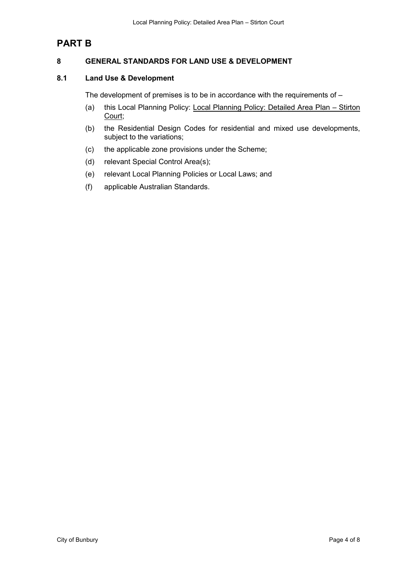# **PART B**

### **8 GENERAL STANDARDS FOR LAND USE & DEVELOPMENT**

### **8.1 Land Use & Development**

The development of premises is to be in accordance with the requirements of –

- (a) this Local Planning Policy: Local Planning Policy: Detailed Area Plan Stirton Court;
- (b) the Residential Design Codes for residential and mixed use developments, subject to the variations;
- (c) the applicable zone provisions under the Scheme;
- (d) relevant Special Control Area(s);
- (e) relevant Local Planning Policies or Local Laws; and
- (f) applicable Australian Standards.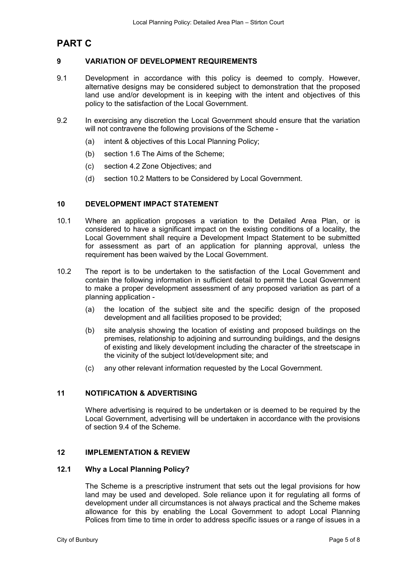# **PART C**

### **9 VARIATION OF DEVELOPMENT REQUIREMENTS**

- 9.1 Development in accordance with this policy is deemed to comply. However, alternative designs may be considered subject to demonstration that the proposed land use and/or development is in keeping with the intent and objectives of this policy to the satisfaction of the Local Government.
- 9.2 In exercising any discretion the Local Government should ensure that the variation will not contravene the following provisions of the Scheme -
	- (a) intent & objectives of this Local Planning Policy;
	- (b) section 1.6 The Aims of the Scheme;
	- (c) section 4.2 Zone Objectives; and
	- (d) section 10.2 Matters to be Considered by Local Government.

### **10 DEVELOPMENT IMPACT STATEMENT**

- 10.1 Where an application proposes a variation to the Detailed Area Plan, or is considered to have a significant impact on the existing conditions of a locality, the Local Government shall require a Development Impact Statement to be submitted for assessment as part of an application for planning approval, unless the requirement has been waived by the Local Government.
- 10.2 The report is to be undertaken to the satisfaction of the Local Government and contain the following information in sufficient detail to permit the Local Government to make a proper development assessment of any proposed variation as part of a planning application -
	- (a) the location of the subject site and the specific design of the proposed development and all facilities proposed to be provided;
	- (b) site analysis showing the location of existing and proposed buildings on the premises, relationship to adjoining and surrounding buildings, and the designs of existing and likely development including the character of the streetscape in the vicinity of the subject lot/development site; and
	- (c) any other relevant information requested by the Local Government.

### **11 NOTIFICATION & ADVERTISING**

Where advertising is required to be undertaken or is deemed to be required by the Local Government, advertising will be undertaken in accordance with the provisions of section 9.4 of the Scheme.

### **12 IMPLEMENTATION & REVIEW**

### **12.1 Why a Local Planning Policy?**

The Scheme is a prescriptive instrument that sets out the legal provisions for how land may be used and developed. Sole reliance upon it for regulating all forms of development under all circumstances is not always practical and the Scheme makes allowance for this by enabling the Local Government to adopt Local Planning Polices from time to time in order to address specific issues or a range of issues in a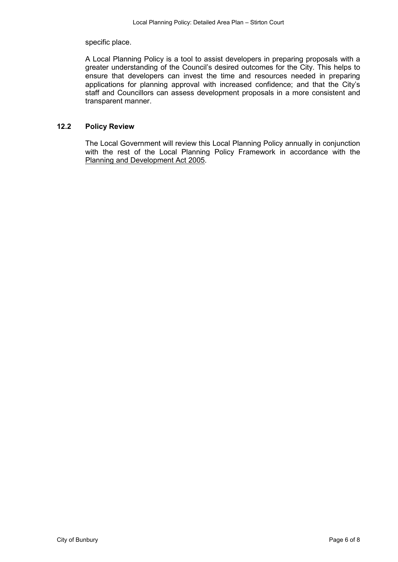specific place.

A Local Planning Policy is a tool to assist developers in preparing proposals with a greater understanding of the Council's desired outcomes for the City. This helps to ensure that developers can invest the time and resources needed in preparing applications for planning approval with increased confidence; and that the City's staff and Councillors can assess development proposals in a more consistent and transparent manner.

### **12.2 Policy Review**

The Local Government will review this Local Planning Policy annually in conjunction with the rest of the Local Planning Policy Framework in accordance with the Planning and Development Act 2005.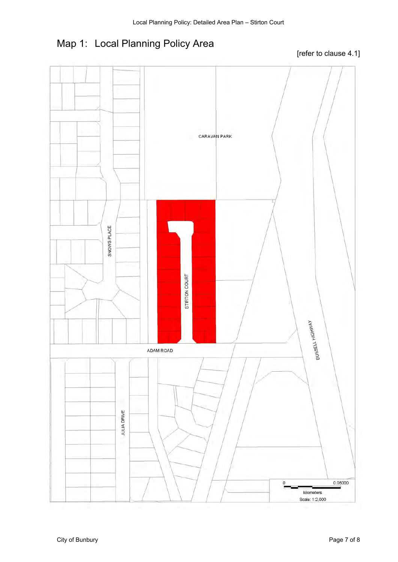# Map 1: Local Planning Policy Area

[refer to clause 4.1]